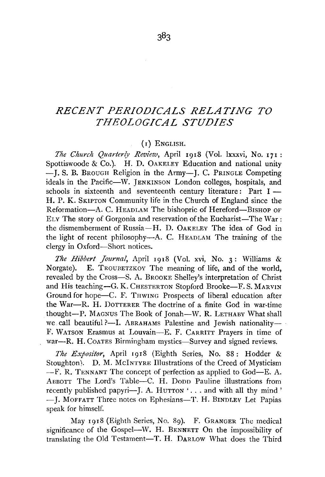## *RECENT PERIODICALS RELATING TO THEOLOGICAL STUDIES*

## (I) ENGLISH.

*The Church Quarterly Review, April 1918 (Vol. lxxxvi, No. 171:* Spottiswoode & Co.). H. D. OAKELEY Education and national unity - J. S. B. BROUGH Religion in the Army-J. C. PRINGLE Competing ideals in the Pacific-W. JENKINSON London colleges, hospitals, and schools in sixteenth and seventeenth century literature: Part I -H. P. K. SKIPTON Community life in the Church of England since the Reformation-A. C. HEADLAM The bishopric of Hereford-BISHOP OF ELY The story of Gorgonia and reservation of the Eucharist-The War: the dismemberment of Russia-H. D. 0AKELEY The idea of God in the light of recent philosophy-A. C. HEADLAM The training of the clergy in Oxford-Short notices.

*The Hibbert Journal*, April 1918 (Vol. xvi, No. 3: Williams & Norgate). E. TROUBETZKOY The meaning of life, and of the world, revealed by the Cross-S. A. BROOKE Shelley's interpretation of Christ and His teaching-G. K. CHESTERTON Stopford Brooke-F. S. MARVIN Ground for hope-C. F. THWING Prospects of liberal education after the War-R. H. DoTTERER The doctrine of a finite God in war-time thought-P. MAGNUS The Book of Jonah-W. R. LETHABY What shall we call beautiful ?--I. ABRAHAMS Palestine and Jewish nationality-F. WATSON Erasmus at Louvain-E. F. CARRITT Prayers in time of war--R. H. Coartes Birmingham mystics-Survey and signed reviews.

*The Expositor,* April rgi8 (Eighth Series, No. 88: Hodder & Stoughton). D. M. McINTYRE Illustrations of the Creed of Mysticism -F. R. TENNANT The concept of perfection as applied to God-E. A. ABBOTT The Lord's Table-C. H. Dopp Pauline illustrations from recently published papyri--J. A. HUTTON  $\cdot$ ... and with all thy mind' -J. MOFFATT Three notes on Ephesians-T. H. BINDLEY Let Papias speak for himself.

May Igr8 (Eighth Series, No. 8g). F. GRANGER The medical significance of the Gospel-W. H. BENNETT On the impossibility of translating the Old Testament-T. H. DARLOW What does the Third